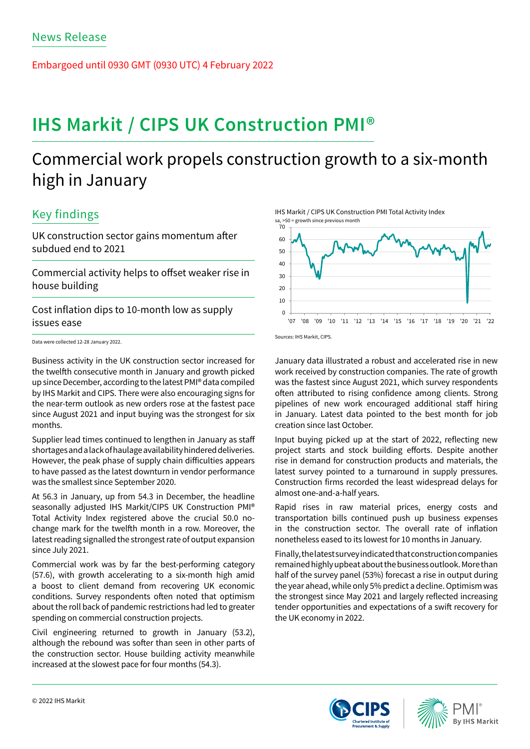Embargoed until 0930 GMT (0930 UTC) 4 February 2022

# **IHS Markit / CIPS UK Construction PMI®**

# Commercial work propels construction growth to a six-month high in January

## Key findings

UK construction sector gains momentum after subdued end to 2021

Commercial activity helps to offset weaker rise in house building

Cost inflation dips to 10-month low as supply issues ease

Data were collected 12-28 January 2022.

Business activity in the UK construction sector increased for the twelfth consecutive month in January and growth picked up since December, according to the latest PMI® data compiled by IHS Markit and CIPS. There were also encouraging signs for the near-term outlook as new orders rose at the fastest pace since August 2021 and input buying was the strongest for six months.

Supplier lead times continued to lengthen in January as staff shortages and a lack of haulage availability hindered deliveries. However, the peak phase of supply chain difficulties appears to have passed as the latest downturn in vendor performance was the smallest since September 2020.

At 56.3 in January, up from 54.3 in December, the headline seasonally adjusted IHS Markit/CIPS UK Construction PMI® Total Activity Index registered above the crucial 50.0 nochange mark for the twelfth month in a row. Moreover, the latest reading signalled the strongest rate of output expansion since July 2021.

Commercial work was by far the best-performing category (57.6), with growth accelerating to a six-month high amid a boost to client demand from recovering UK economic conditions. Survey respondents often noted that optimism about the roll back of pandemic restrictions had led to greater spending on commercial construction projects.

Civil engineering returned to growth in January (53.2), although the rebound was softer than seen in other parts of the construction sector. House building activity meanwhile increased at the slowest pace for four months (54.3).

IHS Markit / CIPS UK Construction PMI Total Activity Index



Sources: IHS Markit, CIPS.

January data illustrated a robust and accelerated rise in new work received by construction companies. The rate of growth was the fastest since August 2021, which survey respondents often attributed to rising confidence among clients. Strong pipelines of new work encouraged additional staff hiring in January. Latest data pointed to the best month for job creation since last October.

Input buying picked up at the start of 2022, reflecting new project starts and stock building efforts. Despite another rise in demand for construction products and materials, the latest survey pointed to a turnaround in supply pressures. Construction firms recorded the least widespread delays for almost one-and-a-half years.

Rapid rises in raw material prices, energy costs and transportation bills continued push up business expenses in the construction sector. The overall rate of inflation nonetheless eased to its lowest for 10 months in January.

Finally, the latest survey indicated that construction companies remained highly upbeat about the business outlook. More than half of the survey panel (53%) forecast a rise in output during the year ahead, while only 5% predict a decline. Optimism was the strongest since May 2021 and largely reflected increasing tender opportunities and expectations of a swift recovery for the UK economy in 2022.



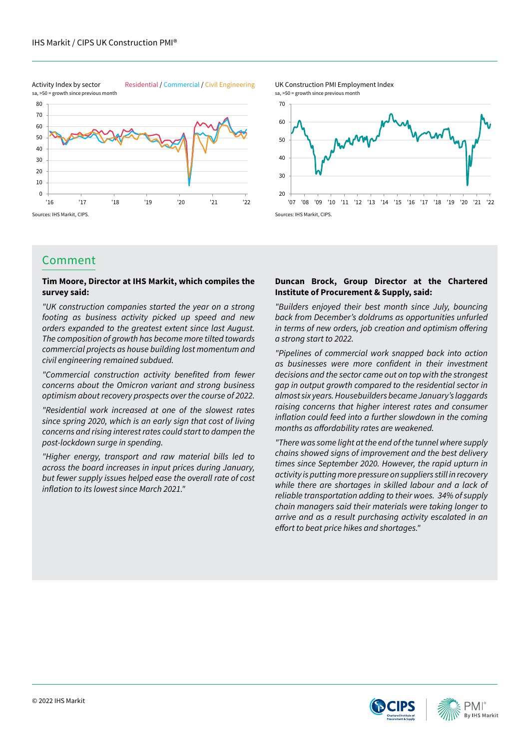Activity Index by sector Residential / Commercial / Civil Engineering



UK Construction PMI Employment Index sa, >50 = growth since previous month



## Comment

### **Tim Moore, Director at IHS Markit, which compiles the survey said:**

*"UK construction companies started the year on a strong footing as business activity picked up speed and new orders expanded to the greatest extent since last August. The composition of growth has become more tilted towards commercial projects as house building lost momentum and civil engineering remained subdued.* 

"Commercial construction activity benefited from fewer *concerns about the Omicron variant and strong business optimism about recovery prospects over the course of 2022.* 

*"Residential work increased at one of the slowest rates since spring 2020, which is an early sign that cost of living concerns and rising interest rates could start to dampen the post-lockdown surge in spending.* 

*"Higher energy, transport and raw material bills led to across the board increases in input prices during January, but fewer supply issues helped ease the overall rate of cost*  inflation to its lowest since March 2021."

### **Duncan Brock, Group Director at the Chartered Institute of Procurement & Supply, said:**

*"Builders enjoyed their best month since July, bouncing back from December's doldrums as opportunities unfurled*  in terms of new orders, job creation and optimism offering *a strong start to 2022.*

*"Pipelines of commercial work snapped back into action*  as businesses were more confident in their investment *decisions and the sector came out on top with the strongest gap in output growth compared to the residential sector in almost six years. Housebuilders became January's laggards raising concerns that higher interest rates and consumer*  inflation could feed into a further slowdown in the coming months as affordability rates are weakened.

*"There was some light at the end of the tunnel where supply chains showed signs of improvement and the best delivery times since September 2020. However, the rapid upturn in activity is putting more pressure on suppliers still in recovery while there are shortages in skilled labour and a lack of reliable transportation adding to their woes. 34% of supply chain managers said their materials were taking longer to arrive and as a result purchasing activity escalated in an*  effort to beat price hikes and shortages."





sa, >50 = growth since previous month